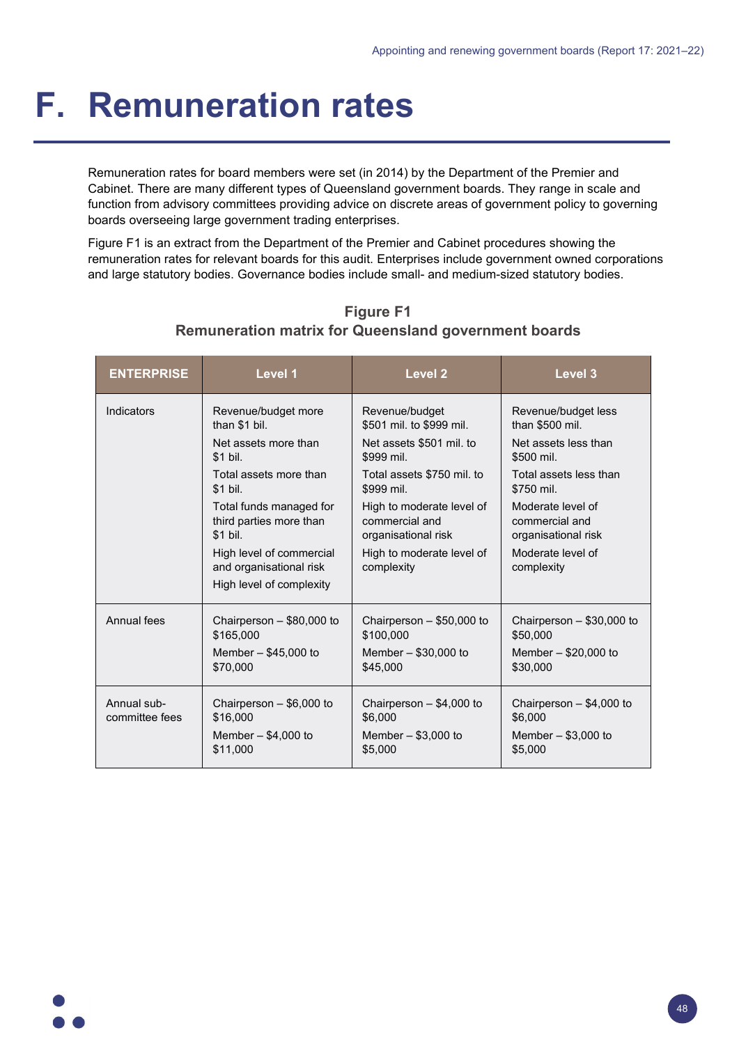## **F. Remuneration rates**

Remuneration rates for board members were set (in 2014) by the Department of the Premier and Cabinet. There are many different types of Queensland government boards. They range in scale and function from advisory committees providing advice on discrete areas of government policy to governing boards overseeing large government trading enterprises.

Figure F1 is an extract from the Department of the Premier and Cabinet procedures showing the remuneration rates for relevant boards for this audit. Enterprises include government owned corporations and large statutory bodies. Governance bodies include small- and medium-sized statutory bodies.

| <b>ENTERPRISE</b>             | Level 1                                                        | Level 2                                                            | Level <sub>3</sub>                                         |
|-------------------------------|----------------------------------------------------------------|--------------------------------------------------------------------|------------------------------------------------------------|
| <b>Indicators</b>             | Revenue/budget more<br>than \$1 bil.                           | Revenue/budget<br>\$501 mil. to \$999 mil.                         | Revenue/budget less<br>than \$500 mil.                     |
|                               | Net assets more than<br>\$1 bil.                               | Net assets \$501 mil. to<br>\$999 mil.                             | Net assets less than<br>\$500 mil.                         |
|                               | Total assets more than<br>\$1 bil.                             | Total assets \$750 mil. to<br>\$999 mil.                           | Total assets less than<br>\$750 mil.                       |
|                               | Total funds managed for<br>third parties more than<br>\$1 bil. | High to moderate level of<br>commercial and<br>organisational risk | Moderate level of<br>commercial and<br>organisational risk |
|                               | High level of commercial<br>and organisational risk            | High to moderate level of<br>complexity                            | Moderate level of<br>complexity                            |
|                               | High level of complexity                                       |                                                                    |                                                            |
| Annual fees                   | Chairperson - \$80,000 to<br>\$165,000                         | Chairperson $-$ \$50,000 to<br>\$100.000                           | Chairperson $-$ \$30,000 to<br>\$50,000                    |
|                               | Member $-$ \$45,000 to<br>\$70,000                             | Member $-$ \$30,000 to<br>\$45,000                                 | Member $-$ \$20,000 to<br>\$30,000                         |
| Annual sub-<br>committee fees | Chairperson $-$ \$6,000 to<br>\$16,000                         | Chairperson $-$ \$4,000 to<br>\$6,000                              | Chairperson $-$ \$4,000 to<br>\$6,000                      |
|                               | Member $-$ \$4,000 to<br>\$11,000                              | Member $-$ \$3,000 to<br>\$5,000                                   | Member $-$ \$3,000 to<br>\$5,000                           |

**Figure F1 Remuneration matrix for Queensland government boards**